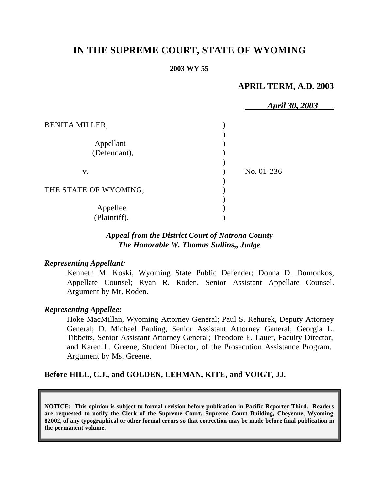# **IN THE SUPREME COURT, STATE OF WYOMING**

#### **2003 WY 55**

# **APRIL TERM, A.D. 2003**

|                       | <b>April 30, 2003</b> |
|-----------------------|-----------------------|
| <b>BENITA MILLER,</b> |                       |
|                       |                       |
| Appellant             |                       |
| (Defendant),          |                       |
|                       |                       |
| V.                    | No. 01-236            |
|                       |                       |
| THE STATE OF WYOMING, |                       |
|                       |                       |
| Appellee              |                       |
| (Plaintiff).          |                       |

# *Appeal from the District Court of Natrona County The Honorable W. Thomas Sullins,, Judge*

#### *Representing Appellant:*

Kenneth M. Koski, Wyoming State Public Defender; Donna D. Domonkos, Appellate Counsel; Ryan R. Roden, Senior Assistant Appellate Counsel. Argument by Mr. Roden.

#### *Representing Appellee:*

Hoke MacMillan, Wyoming Attorney General; Paul S. Rehurek, Deputy Attorney General; D. Michael Pauling, Senior Assistant Attorney General; Georgia L. Tibbetts, Senior Assistant Attorney General; Theodore E. Lauer, Faculty Director, and Karen L. Greene, Student Director, of the Prosecution Assistance Program. Argument by Ms. Greene.

### **Before HILL, C.J., and GOLDEN, LEHMAN, KITE, and VOIGT, JJ.**

**NOTICE: This opinion is subject to formal revision before publication in Pacific Reporter Third. Readers are requested to notify the Clerk of the Supreme Court, Supreme Court Building, Cheyenne, Wyoming 82002, of any typographical or other formal errors so that correction may be made before final publication in the permanent volume.**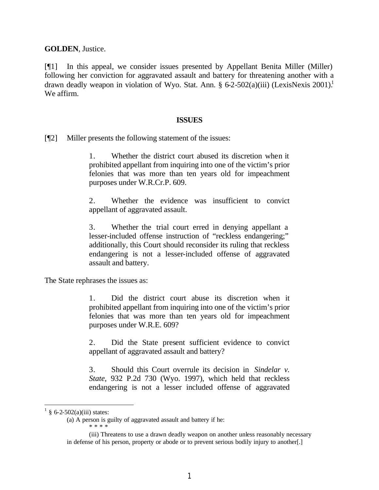**GOLDEN**, Justice.

[¶1] In this appeal, we consider issues presented by Appellant Benita Miller (Miller) following her conviction for aggravated assault and battery for threatening another with a drawn deadly weapon in violation of Wyo. Stat. Ann.  $\S 6-2-502(a)(iii)$  (LexisNexis 2001).<sup>1</sup> We affirm.

#### **ISSUES**

[¶2] Miller presents the following statement of the issues:

1. Whether the district court abused its discretion when it prohibited appellant from inquiring into one of the victim's prior felonies that was more than ten years old for impeachment purposes under W.R.Cr.P. 609.

2. Whether the evidence was insufficient to convict appellant of aggravated assault.

3. Whether the trial court erred in denying appellant a lesser-included offense instruction of "reckless endangering;" additionally, this Court should reconsider its ruling that reckless endangering is not a lesser-included offense of aggravated assault and battery.

The State rephrases the issues as:

1. Did the district court abuse its discretion when it prohibited appellant from inquiring into one of the victim's prior felonies that was more than ten years old for impeachment purposes under W.R.E. 609?

2. Did the State present sufficient evidence to convict appellant of aggravated assault and battery?

3. Should this Court overrule its decision in *Sindelar v. State,* 932 P.2d 730 (Wyo. 1997), which held that reckless endangering is not a lesser included offense of aggravated

 $1 \tS 6-2-502(a)(iii)$  states:

<sup>(</sup>a) A person is guilty of aggravated assault and battery if he: \* \* \* \*

<sup>(</sup>iii) Threatens to use a drawn deadly weapon on another unless reasonably necessary in defense of his person, property or abode or to prevent serious bodily injury to another[.]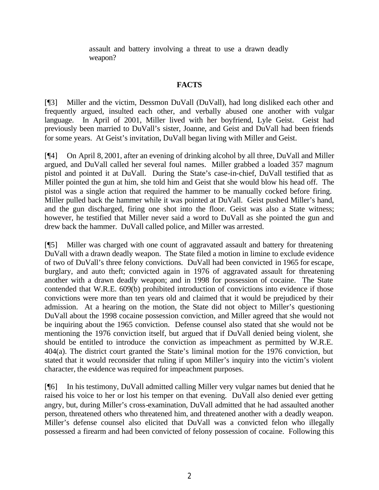assault and battery involving a threat to use a drawn deadly weapon?

## **FACTS**

[¶3] Miller and the victim, Dessmon DuVall (DuVall), had long disliked each other and frequently argued, insulted each other, and verbally abused one another with vulgar language. In April of 2001, Miller lived with her boyfriend, Lyle Geist. Geist had previously been married to DuVall's sister, Joanne, and Geist and DuVall had been friends for some years. At Geist's invitation, DuVall began living with Miller and Geist.

[¶4] On April 8, 2001, after an evening of drinking alcohol by all three, DuVall and Miller argued, and DuVall called her several foul names. Miller grabbed a loaded 357 magnum pistol and pointed it at DuVall. During the State's case-in-chief, DuVall testified that as Miller pointed the gun at him, she told him and Geist that she would blow his head off. The pistol was a single action that required the hammer to be manually cocked before firing. Miller pulled back the hammer while it was pointed at DuVall. Geist pushed Miller's hand, and the gun discharged, firing one shot into the floor. Geist was also a State witness; however, he testified that Miller never said a word to DuVall as she pointed the gun and drew back the hammer. DuVall called police, and Miller was arrested.

[¶5] Miller was charged with one count of aggravated assault and battery for threatening DuVall with a drawn deadly weapon. The State filed a motion in limine to exclude evidence of two of DuVall's three felony convictions. DuVall had been convicted in 1965 for escape, burglary, and auto theft; convicted again in 1976 of aggravated assault for threatening another with a drawn deadly weapon; and in 1998 for possession of cocaine. The State contended that W.R.E. 609(b) prohibited introduction of convictions into evidence if those convictions were more than ten years old and claimed that it would be prejudiced by their admission. At a hearing on the motion, the State did not object to Miller's questioning DuVall about the 1998 cocaine possession conviction, and Miller agreed that she would not be inquiring about the 1965 conviction. Defense counsel also stated that she would not be mentioning the 1976 conviction itself, but argued that if DuVall denied being violent, she should be entitled to introduce the conviction as impeachment as permitted by W.R.E. 404(a). The district court granted the State's liminal motion for the 1976 conviction, but stated that it would reconsider that ruling if upon Miller's inquiry into the victim's violent character, the evidence was required for impeachment purposes.

[¶6] In his testimony, DuVall admitted calling Miller very vulgar names but denied that he raised his voice to her or lost his temper on that evening. DuVall also denied ever getting angry, but, during Miller's cross-examination, DuVall admitted that he had assaulted another person, threatened others who threatened him, and threatened another with a deadly weapon. Miller's defense counsel also elicited that DuVall was a convicted felon who illegally possessed a firearm and had been convicted of felony possession of cocaine. Following this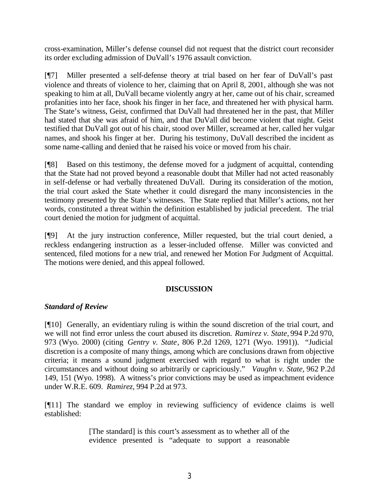cross-examination, Miller's defense counsel did not request that the district court reconsider its order excluding admission of DuVall's 1976 assault conviction.

[¶7] Miller presented a self-defense theory at trial based on her fear of DuVall's past violence and threats of violence to her, claiming that on April 8, 2001, although she was not speaking to him at all, DuVall became violently angry at her, came out of his chair, screamed profanities into her face, shook his finger in her face, and threatened her with physical harm. The State's witness, Geist, confirmed that DuVall had threatened her in the past, that Miller had stated that she was afraid of him, and that DuVall did become violent that night. Geist testified that DuVall got out of his chair, stood over Miller, screamed at her, called her vulgar names, and shook his finger at her. During his testimony, DuVall described the incident as some name-calling and denied that he raised his voice or moved from his chair.

[¶8] Based on this testimony, the defense moved for a judgment of acquittal, contending that the State had not proved beyond a reasonable doubt that Miller had not acted reasonably in self-defense or had verbally threatened DuVall. During its consideration of the motion, the trial court asked the State whether it could disregard the many inconsistencies in the testimony presented by the State's witnesses. The State replied that Miller's actions, not her words, constituted a threat within the definition established by judicial precedent. The trial court denied the motion for judgment of acquittal.

[¶9] At the jury instruction conference, Miller requested, but the trial court denied, a reckless endangering instruction as a lesser-included offense. Miller was convicted and sentenced, filed motions for a new trial, and renewed her Motion For Judgment of Acquittal. The motions were denied, and this appeal followed.

## **DISCUSSION**

### *Standard of Review*

[¶10] Generally, an evidentiary ruling is within the sound discretion of the trial court, and we will not find error unless the court abused its discretion. *Ramirez v. State,* 994 P.2d 970, 973 (Wyo. 2000) (citing *Gentry v. State*, 806 P.2d 1269, 1271 (Wyo. 1991)). "Judicial discretion is a composite of many things, among which are conclusions drawn from objective criteria; it means a sound judgment exercised with regard to what is right under the circumstances and without doing so arbitrarily or capriciously." *Vaughn v. State*, 962 P.2d 149, 151 (Wyo. 1998). A witness's prior convictions may be used as impeachment evidence under W.R.E. 609. *Ramirez,* 994 P.2d at 973.

[¶11] The standard we employ in reviewing sufficiency of evidence claims is well established:

> [The standard] is this court's assessment as to whether all of the evidence presented is "adequate to support a reasonable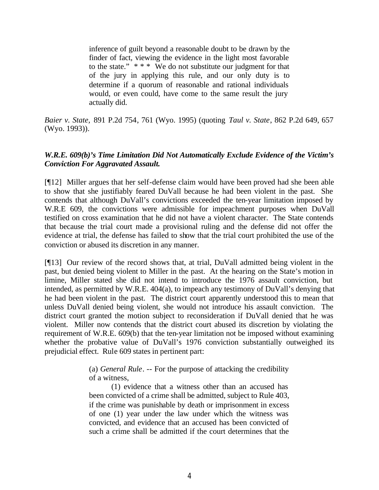inference of guilt beyond a reasonable doubt to be drawn by the finder of fact, viewing the evidence in the light most favorable to the state."  $***$  We do not substitute our judgment for that of the jury in applying this rule, and our only duty is to determine if a quorum of reasonable and rational individuals would, or even could, have come to the same result the jury actually did.

*Baier v. State,* 891 P.2d 754, 761 (Wyo. 1995) (quoting *Taul v. State*, 862 P.2d 649, 657 (Wyo. 1993)).

# *W.R.E. 609(b)'s Time Limitation Did Not Automatically Exclude Evidence of the Victim's Conviction For Aggravated Assault.*

[¶12] Miller argues that her self-defense claim would have been proved had she been able to show that she justifiably feared DuVall because he had been violent in the past. She contends that although DuVall's convictions exceeded the ten-year limitation imposed by W.R.E 609, the convictions were admissible for impeachment purposes when DuVall testified on cross examination that he did not have a violent character. The State contends that because the trial court made a provisional ruling and the defense did not offer the evidence at trial, the defense has failed to show that the trial court prohibited the use of the conviction or abused its discretion in any manner.

[¶13] Our review of the record shows that, at trial, DuVall admitted being violent in the past, but denied being violent to Miller in the past. At the hearing on the State's motion in limine, Miller stated she did not intend to introduce the 1976 assault conviction, but intended, as permitted by W.R.E. 404(a), to impeach any testimony of DuVall's denying that he had been violent in the past. The district court apparently understood this to mean that unless DuVall denied being violent, she would not introduce his assault conviction. The district court granted the motion subject to reconsideration if DuVall denied that he was violent. Miller now contends that the district court abused its discretion by violating the requirement of W.R.E. 609(b) that the ten-year limitation not be imposed without examining whether the probative value of DuVall's 1976 conviction substantially outweighed its prejudicial effect. Rule 609 states in pertinent part:

> (a) *General Rule*. -- For the purpose of attacking the credibility of a witness,

> (1) evidence that a witness other than an accused has been convicted of a crime shall be admitted, subject to Rule 403, if the crime was punishable by death or imprisonment in excess of one (1) year under the law under which the witness was convicted, and evidence that an accused has been convicted of such a crime shall be admitted if the court determines that the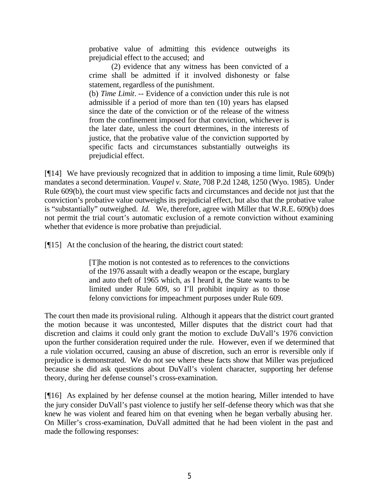probative value of admitting this evidence outweighs its prejudicial effect to the accused; and

(2) evidence that any witness has been convicted of a crime shall be admitted if it involved dishonesty or false statement, regardless of the punishment.

(b) *Time Limit*. -- Evidence of a conviction under this rule is not admissible if a period of more than ten (10) years has elapsed since the date of the conviction or of the release of the witness from the confinement imposed for that conviction, whichever is the later date, unless the court determines, in the interests of justice, that the probative value of the conviction supported by specific facts and circumstances substantially outweighs its prejudicial effect.

[¶14] We have previously recognized that in addition to imposing a time limit, Rule 609(b) mandates a second determination. *Vaupel v. State,* 708 P.2d 1248, 1250 (Wyo. 1985). Under Rule 609(b), the court must view specific facts and circumstances and decide not just that the conviction's probative value outweighs its prejudicial effect, but also that the probative value is "substantially" outweighed. *Id.* We, therefore, agree with Miller that W.R.E. 609(b) does not permit the trial court's automatic exclusion of a remote conviction without examining whether that evidence is more probative than prejudicial.

[¶15] At the conclusion of the hearing, the district court stated:

[T]he motion is not contested as to references to the convictions of the 1976 assault with a deadly weapon or the escape, burglary and auto theft of 1965 which, as I heard it, the State wants to be limited under Rule 609, so I'll prohibit inquiry as to those felony convictions for impeachment purposes under Rule 609.

The court then made its provisional ruling. Although it appears that the district court granted the motion because it was uncontested, Miller disputes that the district court had that discretion and claims it could only grant the motion to exclude DuVall's 1976 conviction upon the further consideration required under the rule. However, even if we determined that a rule violation occurred, causing an abuse of discretion, such an error is reversible only if prejudice is demonstrated. We do not see where these facts show that Miller was prejudiced because she did ask questions about DuVall's violent character, supporting her defense theory, during her defense counsel's cross-examination.

[¶16] As explained by her defense counsel at the motion hearing, Miller intended to have the jury consider DuVall's past violence to justify her self-defense theory which was that she knew he was violent and feared him on that evening when he began verbally abusing her. On Miller's cross-examination, DuVall admitted that he had been violent in the past and made the following responses: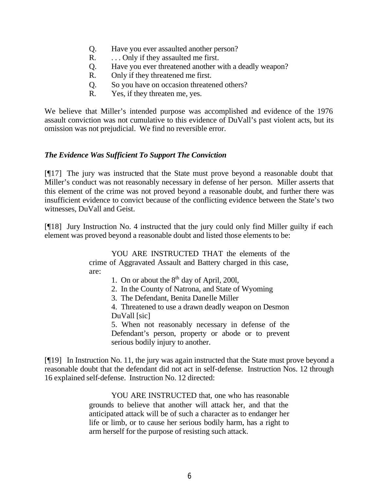- Q. Have you ever assaulted another person?
- R. ... Only if they assaulted me first.
- Q. Have you ever threatened another with a deadly weapon?
- R. Only if they threatened me first.
- Q. So you have on occasion threatened others?
- R. Yes, if they threaten me, yes.

We believe that Miller's intended purpose was accomplished and evidence of the 1976 assault conviction was not cumulative to this evidence of DuVall's past violent acts, but its omission was not prejudicial. We find no reversible error.

### *The Evidence Was Sufficient To Support The Conviction*

[¶17] The jury was instructed that the State must prove beyond a reasonable doubt that Miller's conduct was not reasonably necessary in defense of her person. Miller asserts that this element of the crime was not proved beyond a reasonable doubt, and further there was insufficient evidence to convict because of the conflicting evidence between the State's two witnesses, DuVall and Geist.

[¶18] Jury Instruction No. 4 instructed that the jury could only find Miller guilty if each element was proved beyond a reasonable doubt and listed those elements to be:

> YOU ARE INSTRUCTED THAT the elements of the crime of Aggravated Assault and Battery charged in this case, are:

- 1. On or about the  $8<sup>th</sup>$  day of April, 2001,
- 2. In the County of Natrona, and State of Wyoming
- 3. The Defendant, Benita Danelle Miller
- 4. Threatened to use a drawn deadly weapon on Desmon DuVall [sic]

5. When not reasonably necessary in defense of the Defendant's person, property or abode or to prevent serious bodily injury to another.

[¶19] In Instruction No. 11, the jury was again instructed that the State must prove beyond a reasonable doubt that the defendant did not act in self-defense. Instruction Nos. 12 through 16 explained self-defense. Instruction No. 12 directed:

> YOU ARE INSTRUCTED that, one who has reasonable grounds to believe that another will attack her, and that the anticipated attack will be of such a character as to endanger her life or limb, or to cause her serious bodily harm, has a right to arm herself for the purpose of resisting such attack.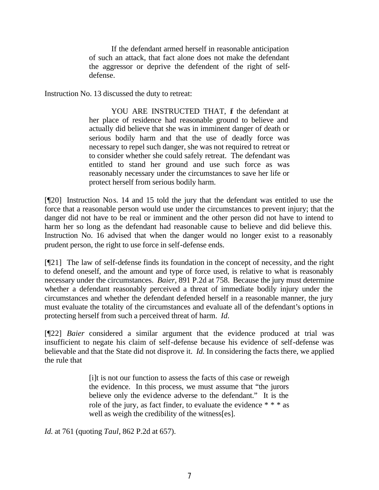If the defendant armed herself in reasonable anticipation of such an attack, that fact alone does not make the defendant the aggressor or deprive the defendent of the right of selfdefense.

Instruction No. 13 discussed the duty to retreat:

YOU ARE INSTRUCTED THAT, if the defendant at her place of residence had reasonable ground to believe and actually did believe that she was in imminent danger of death or serious bodily harm and that the use of deadly force was necessary to repel such danger, she was not required to retreat or to consider whether she could safely retreat. The defendant was entitled to stand her ground and use such force as was reasonably necessary under the circumstances to save her life or protect herself from serious bodily harm.

[¶20] Instruction Nos. 14 and 15 told the jury that the defendant was entitled to use the force that a reasonable person would use under the circumstances to prevent injury; that the danger did not have to be real or imminent and the other person did not have to intend to harm her so long as the defendant had reasonable cause to believe and did believe this. Instruction No. 16 advised that when the danger would no longer exist to a reasonably prudent person, the right to use force in self-defense ends.

[¶21] The law of self-defense finds its foundation in the concept of necessity, and the right to defend oneself, and the amount and type of force used, is relative to what is reasonably necessary under the circumstances. *Baier,* 891 P.2d at 758.Because the jury must determine whether a defendant reasonably perceived a threat of immediate bodily injury under the circumstances and whether the defendant defended herself in a reasonable manner, the jury must evaluate the totality of the circumstances and evaluate all of the defendant's options in protecting herself from such a perceived threat of harm. *Id.*

[¶22] *Baier* considered a similar argument that the evidence produced at trial was insufficient to negate his claim of self-defense because his evidence of self-defense was believable and that the State did not disprove it. *Id.* In considering the facts there, we applied the rule that

> [i]t is not our function to assess the facts of this case or reweigh the evidence. In this process, we must assume that "the jurors believe only the evidence adverse to the defendant." It is the role of the jury, as fact finder, to evaluate the evidence  $**$  as well as weigh the credibility of the witness[es].

*Id.* at 761 (quoting *Taul*, 862 P.2d at 657).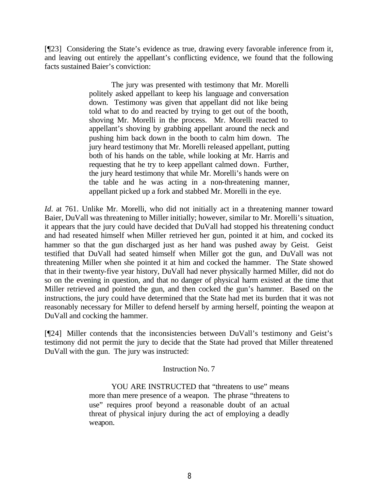[¶23] Considering the State's evidence as true, drawing every favorable inference from it, and leaving out entirely the appellant's conflicting evidence, we found that the following facts sustained Baier's conviction:

> The jury was presented with testimony that Mr. Morelli politely asked appellant to keep his language and conversation down. Testimony was given that appellant did not like being told what to do and reacted by trying to get out of the booth, shoving Mr. Morelli in the process. Mr. Morelli reacted to appellant's shoving by grabbing appellant around the neck and pushing him back down in the booth to calm him down. The jury heard testimony that Mr. Morelli released appellant, putting both of his hands on the table, while looking at Mr. Harris and requesting that he try to keep appellant calmed down. Further, the jury heard testimony that while Mr. Morelli's hands were on the table and he was acting in a non-threatening manner, appellant picked up a fork and stabbed Mr. Morelli in the eye.

*Id.* at 761. Unlike Mr. Morelli, who did not initially act in a threatening manner toward Baier, DuVall was threatening to Miller initially; however, similar to Mr. Morelli's situation, it appears that the jury could have decided that DuVall had stopped his threatening conduct and had reseated himself when Miller retrieved her gun, pointed it at him, and cocked its hammer so that the gun discharged just as her hand was pushed away by Geist. Geist testified that DuVall had seated himself when Miller got the gun, and DuVall was not threatening Miller when she pointed it at him and cocked the hammer. The State showed that in their twenty-five year history, DuVall had never physically harmed Miller, did not do so on the evening in question, and that no danger of physical harm existed at the time that Miller retrieved and pointed the gun, and then cocked the gun's hammer. Based on the instructions, the jury could have determined that the State had met its burden that it was not reasonably necessary for Miller to defend herself by arming herself, pointing the weapon at DuVall and cocking the hammer.

[¶24] Miller contends that the inconsistencies between DuVall's testimony and Geist's testimony did not permit the jury to decide that the State had proved that Miller threatened DuVall with the gun. The jury was instructed:

### Instruction No. 7

YOU ARE INSTRUCTED that "threatens to use" means more than mere presence of a weapon. The phrase "threatens to use" requires proof beyond a reasonable doubt of an actual threat of physical injury during the act of employing a deadly weapon.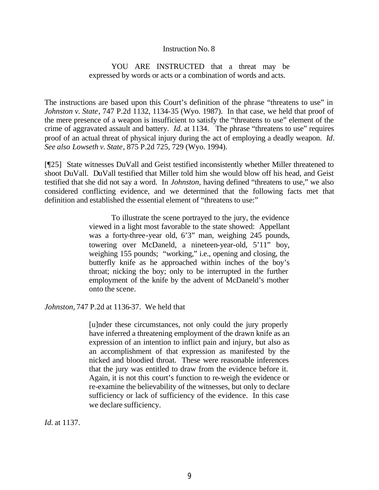#### Instruction No. 8

#### YOU ARE INSTRUCTED that a threat may be expressed by words or acts or a combination of words and acts.

The instructions are based upon this Court's definition of the phrase "threatens to use" in *Johnston v. State*, 747 P.2d 1132, 1134-35 (Wyo. 1987). In that case, we held that proof of the mere presence of a weapon is insufficient to satisfy the "threatens to use" element of the crime of aggravated assault and battery. *Id.* at 1134. The phrase "threatens to use" requires proof of an actual threat of physical injury during the act of employing a deadly weapon. *Id*. *See also Lowseth v. State*, 875 P.2d 725, 729 (Wyo. 1994).

[¶25] State witnesses DuVall and Geist testified inconsistently whether Miller threatened to shoot DuVall. DuVall testified that Miller told him she would blow off his head, and Geist testified that she did not say a word. In *Johnston,* having defined "threatens to use," we also considered conflicting evidence, and we determined that the following facts met that definition and established the essential element of "threatens to use:"

> To illustrate the scene portrayed to the jury, the evidence viewed in a light most favorable to the state showed: Appellant was a forty-three-year old, 6'3" man, weighing 245 pounds, towering over McDaneld, a nineteen-year-old, 5'11" boy, weighing 155 pounds; "working," i.e., opening and closing, the butterfly knife as he approached within inches of the boy's throat; nicking the boy; only to be interrupted in the further employment of the knife by the advent of McDaneld's mother onto the scene.

*Johnston,* 747 P.2d at 1136-37. We held that

[u]nder these circumstances, not only could the jury properly have inferred a threatening employment of the drawn knife as an expression of an intention to inflict pain and injury, but also as an accomplishment of that expression as manifested by the nicked and bloodied throat. These were reasonable inferences that the jury was entitled to draw from the evidence before it. Again, it is not this court's function to re-weigh the evidence or re-examine the believability of the witnesses, but only to declare sufficiency or lack of sufficiency of the evidence. In this case we declare sufficiency.

*Id.* at 1137.